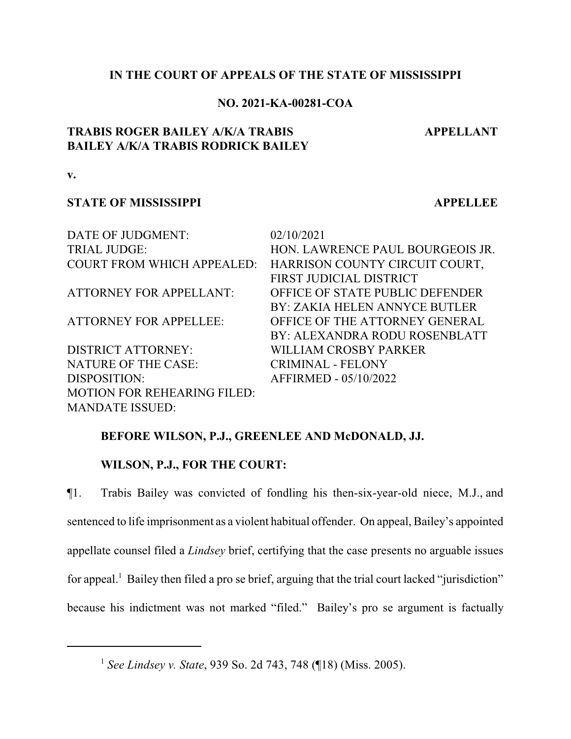## **IN THE COURT OF APPEALS OF THE STATE OF MISSISSIPPI**

## **NO. 2021-KA-00281-COA**

# **TRABIS ROGER BAILEY A/K/A TRABIS BAILEY A/K/A TRABIS RODRICK BAILEY**

**APPELLANT**

**v.**

#### **STATE OF MISSISSIPPI APPELLEE**

| DATE OF JUDGMENT:                  | 02/10/2021                       |
|------------------------------------|----------------------------------|
| <b>TRIAL JUDGE:</b>                | HON. LAWRENCE PAUL BOURGEOIS JR. |
| <b>COURT FROM WHICH APPEALED:</b>  | HARRISON COUNTY CIRCUIT COURT,   |
|                                    | FIRST JUDICIAL DISTRICT          |
| <b>ATTORNEY FOR APPELLANT:</b>     | OFFICE OF STATE PUBLIC DEFENDER  |
|                                    | BY: ZAKIA HELEN ANNYCE BUTLER    |
| <b>ATTORNEY FOR APPELLEE:</b>      | OFFICE OF THE ATTORNEY GENERAL   |
|                                    | BY: ALEXANDRA RODU ROSENBLATT    |
| <b>DISTRICT ATTORNEY:</b>          | WILLIAM CROSBY PARKER            |
| <b>NATURE OF THE CASE:</b>         | <b>CRIMINAL - FELONY</b>         |
| DISPOSITION:                       | AFFIRMED - 05/10/2022            |
| <b>MOTION FOR REHEARING FILED:</b> |                                  |
| <b>MANDATE ISSUED:</b>             |                                  |

# **BEFORE WILSON, P.J., GREENLEE AND McDONALD, JJ.**

# **WILSON, P.J., FOR THE COURT:**

¶1. Trabis Bailey was convicted of fondling his then-six-year-old niece, M.J., and sentenced to life imprisonment as a violent habitual offender. On appeal, Bailey's appointed appellate counsel filed a *Lindsey* brief, certifying that the case presents no arguable issues for appeal.<sup>1</sup> Bailey then filed a pro se brief, arguing that the trial court lacked "jurisdiction" because his indictment was not marked "filed." Bailey's pro se argument is factually

<sup>1</sup> *See Lindsey v. State*, 939 So. 2d 743, 748 (¶18) (Miss. 2005).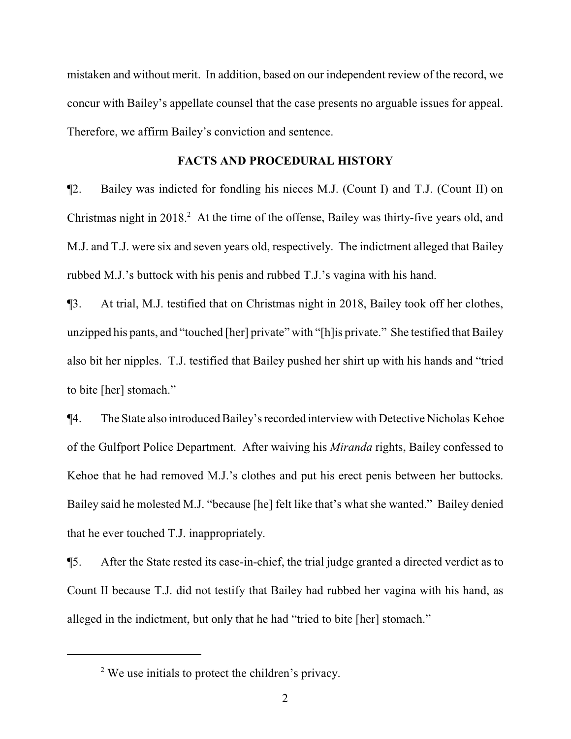mistaken and without merit. In addition, based on our independent review of the record, we concur with Bailey's appellate counsel that the case presents no arguable issues for appeal. Therefore, we affirm Bailey's conviction and sentence.

#### **FACTS AND PROCEDURAL HISTORY**

¶2. Bailey was indicted for fondling his nieces M.J. (Count I) and T.J. (Count II) on Christmas night in 2018.<sup>2</sup> At the time of the offense, Bailey was thirty-five years old, and M.J. and T.J. were six and seven years old, respectively. The indictment alleged that Bailey rubbed M.J.'s buttock with his penis and rubbed T.J.'s vagina with his hand.

¶3. At trial, M.J. testified that on Christmas night in 2018, Bailey took off her clothes, unzipped his pants, and "touched [her] private" with "[h]is private." She testified that Bailey also bit her nipples. T.J. testified that Bailey pushed her shirt up with his hands and "tried to bite [her] stomach."

¶4. The State also introduced Bailey's recorded interview with Detective Nicholas Kehoe of the Gulfport Police Department. After waiving his *Miranda* rights, Bailey confessed to Kehoe that he had removed M.J.'s clothes and put his erect penis between her buttocks. Bailey said he molested M.J. "because [he] felt like that's what she wanted." Bailey denied that he ever touched T.J. inappropriately.

¶5. After the State rested its case-in-chief, the trial judge granted a directed verdict as to Count II because T.J. did not testify that Bailey had rubbed her vagina with his hand, as alleged in the indictment, but only that he had "tried to bite [her] stomach."

 $2$  We use initials to protect the children's privacy.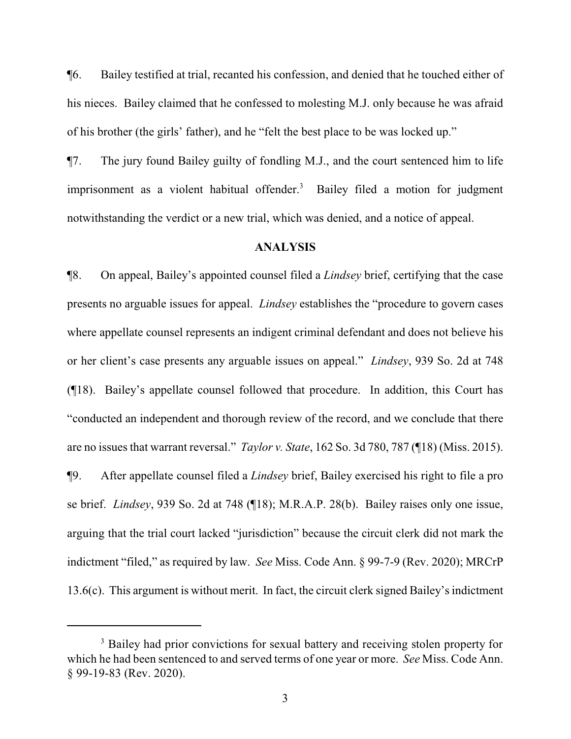¶6. Bailey testified at trial, recanted his confession, and denied that he touched either of his nieces. Bailey claimed that he confessed to molesting M.J. only because he was afraid of his brother (the girls' father), and he "felt the best place to be was locked up."

¶7. The jury found Bailey guilty of fondling M.J., and the court sentenced him to life imprisonment as a violent habitual offender.<sup>3</sup> Bailey filed a motion for judgment notwithstanding the verdict or a new trial, which was denied, and a notice of appeal.

#### **ANALYSIS**

¶8. On appeal, Bailey's appointed counsel filed a *Lindsey* brief, certifying that the case presents no arguable issues for appeal. *Lindsey* establishes the "procedure to govern cases where appellate counsel represents an indigent criminal defendant and does not believe his or her client's case presents any arguable issues on appeal." *Lindsey*, 939 So. 2d at 748 (¶18). Bailey's appellate counsel followed that procedure. In addition, this Court has "conducted an independent and thorough review of the record, and we conclude that there are no issues that warrant reversal." *Taylor v. State*, 162 So. 3d 780, 787 (¶18) (Miss. 2015). ¶9. After appellate counsel filed a *Lindsey* brief, Bailey exercised his right to file a pro se brief. *Lindsey*, 939 So. 2d at 748 (¶18); M.R.A.P. 28(b). Bailey raises only one issue, arguing that the trial court lacked "jurisdiction" because the circuit clerk did not mark the indictment "filed," as required by law. *See* Miss. Code Ann. § 99-7-9 (Rev. 2020); MRCrP 13.6(c). This argument is without merit. In fact, the circuit clerk signed Bailey's indictment

<sup>&</sup>lt;sup>3</sup> Bailey had prior convictions for sexual battery and receiving stolen property for which he had been sentenced to and served terms of one year or more. *See* Miss. Code Ann. § 99-19-83 (Rev. 2020).